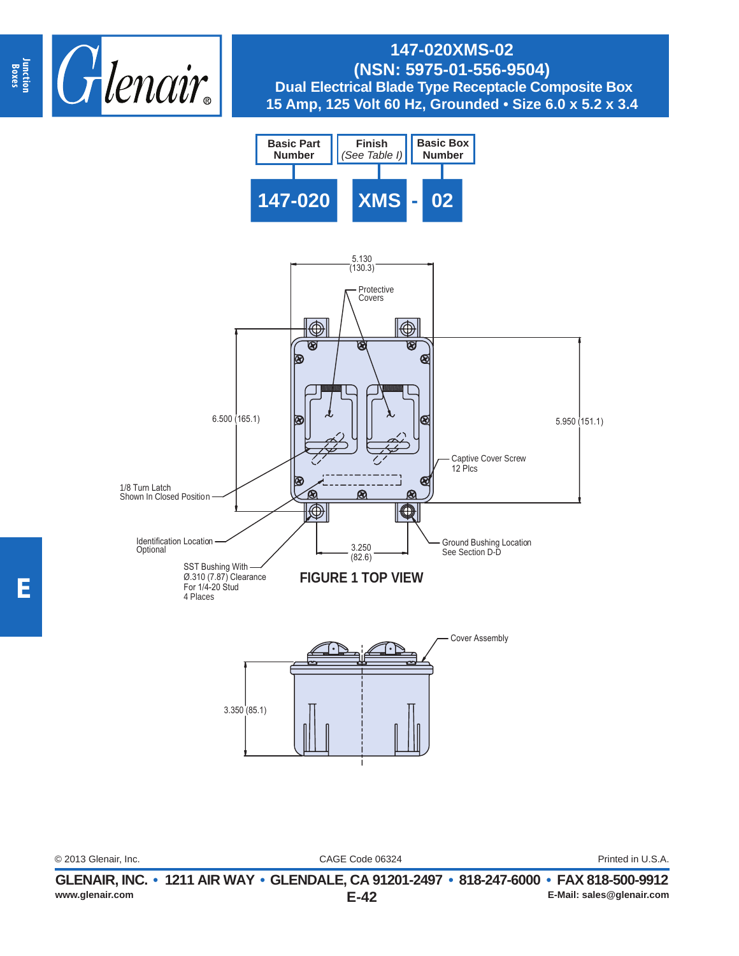





© 2013 Glenair, Inc. Printed in U.S.A.

CAGE Code 06324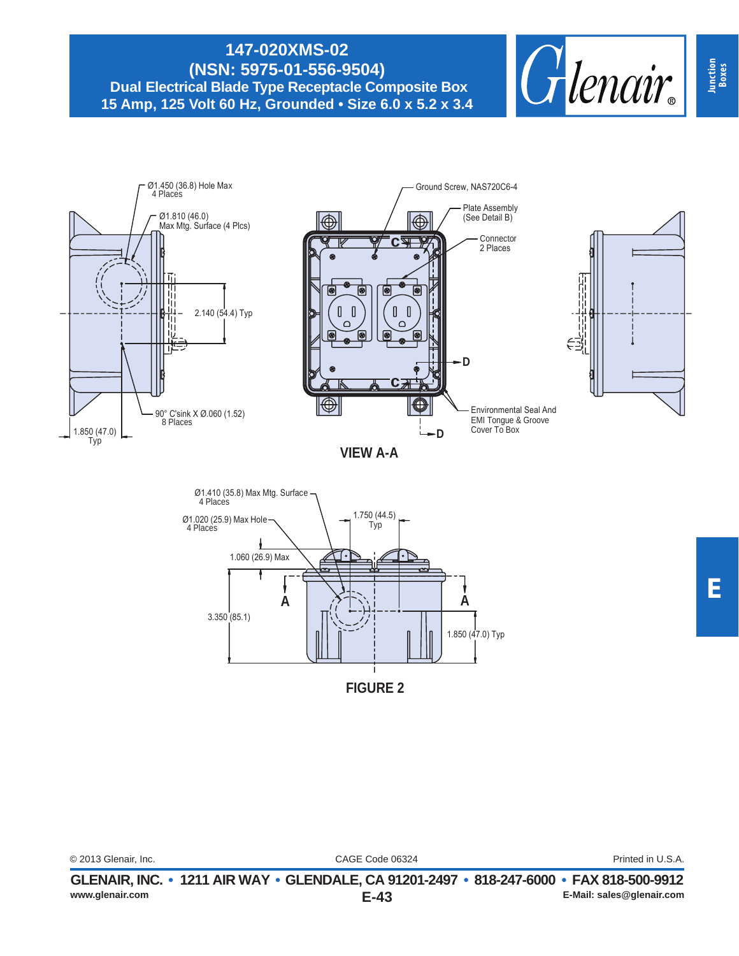



| © 2013 Glenair. Inc. | CAGE Code 06324 | Printed in U.S.A. |
|----------------------|-----------------|-------------------|
|                      |                 |                   |

**Junction Boxes**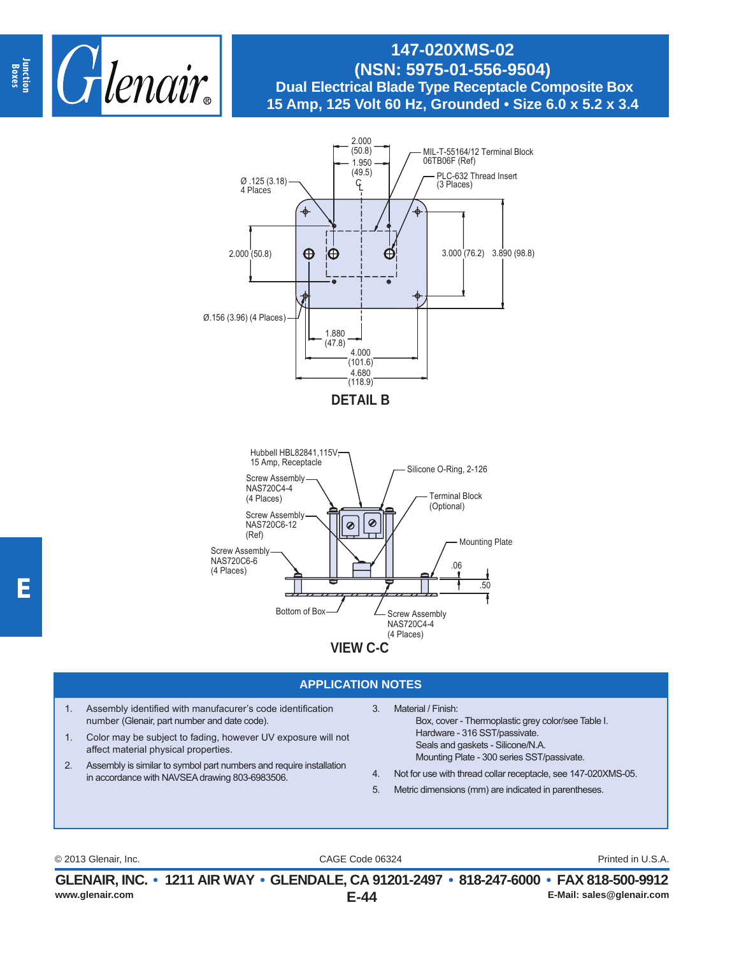



#### **APPLICATION NOTES**

- 1. Assembly identified with manufacurer's code identification number (Glenair, part number and date code).
- 1. Color may be subject to fading, however UV exposure will not affect material physical properties.
- 2. Assembly is similar to symbol part numbers and require installation in accordance with NAVSEA drawing 803-6983506.
- 3. Material / Finish:
	- Box, cover Thermoplastic grey color/see Table I. Hardware - 316 SST/passivate. Seals and gaskets - Silicone/N.A. Mounting Plate - 300 series SST/passivate.
- 4. Not for use with thread collar receptacle, see 147-020XMS-05.
- 5. Metric dimensions (mm) are indicated in parentheses.

CAGE Code 06324 © 2013 Glenair, Inc. Printed in U.S.A.

**E-44 GLENAIR, INC. • 1211 AIR WAY • GLENDALE, CA 91201-2497 • 818-247-6000 • FAX 818-500-9912 www.glenair.com E-Mail: sales@glenair.com**